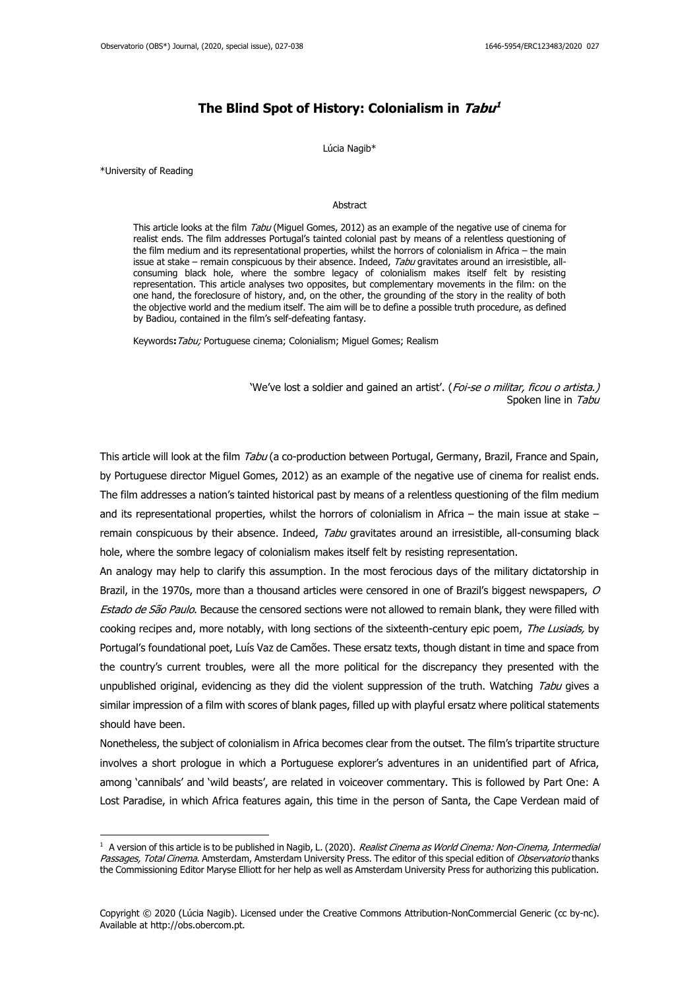# **The Blind Spot of History: Colonialism in Tabu 1**

#### Lúcia Nagib\*

\*University of Reading

## Abstract

This article looks at the film Tabu (Miquel Gomes, 2012) as an example of the negative use of cinema for realist ends. The film addresses Portugal's tainted colonial past by means of a relentless questioning of the film medium and its representational properties, whilst the horrors of colonialism in Africa – the main issue at stake – remain conspicuous by their absence. Indeed, Tabu gravitates around an irresistible, allconsuming black hole, where the sombre legacy of colonialism makes itself felt by resisting representation. This article analyses two opposites, but complementary movements in the film: on the one hand, the foreclosure of history, and, on the other, the grounding of the story in the reality of both the objective world and the medium itself. The aim will be to define a possible truth procedure, as defined by Badiou, contained in the film's self-defeating fantasy.

Keywords**:**Tabu; Portuguese cinema; Colonialism; Miguel Gomes; Realism

'We've lost a soldier and gained an artist'. (Foi-se o militar, ficou o artista.) Spoken line in Tabu

This article will look at the film Tabu (a co-production between Portugal, Germany, Brazil, France and Spain, by Portuguese director Miguel Gomes, 2012) as an example of the negative use of cinema for realist ends. The film addresses a nation's tainted historical past by means of a relentless questioning of the film medium and its representational properties, whilst the horrors of colonialism in Africa – the main issue at stake – remain conspicuous by their absence. Indeed, Tabu gravitates around an irresistible, all-consuming black hole, where the sombre legacy of colonialism makes itself felt by resisting representation.

An analogy may help to clarify this assumption. In the most ferocious days of the military dictatorship in Brazil, in the 1970s, more than a thousand articles were censored in one of Brazil's biggest newspapers, O Estado de São Paulo. Because the censored sections were not allowed to remain blank, they were filled with cooking recipes and, more notably, with long sections of the sixteenth-century epic poem, The Lusiads, by Portugal's foundational poet, Luís Vaz de Camões. These ersatz texts, though distant in time and space from the country's current troubles, were all the more political for the discrepancy they presented with the unpublished original, evidencing as they did the violent suppression of the truth. Watching Tabu gives a similar impression of a film with scores of blank pages, filled up with playful ersatz where political statements should have been.

Nonetheless, the subject of colonialism in Africa becomes clear from the outset. The film's tripartite structure involves a short prologue in which a Portuguese explorer's adventures in an unidentified part of Africa, among 'cannibals' and 'wild beasts', are related in voiceover commentary. This is followed by Part One: A Lost Paradise, in which Africa features again, this time in the person of Santa, the Cape Verdean maid of

 $1$  A version of this article is to be published in Nagib, L. (2020). Realist Cinema as World Cinema: Non-Cinema, Intermedial Passages, Total Cinema. Amsterdam, Amsterdam University Press. The editor of this special edition of Observatorio thanks the Commissioning Editor Maryse Elliott for her help as well as Amsterdam University Press for authorizing this publication.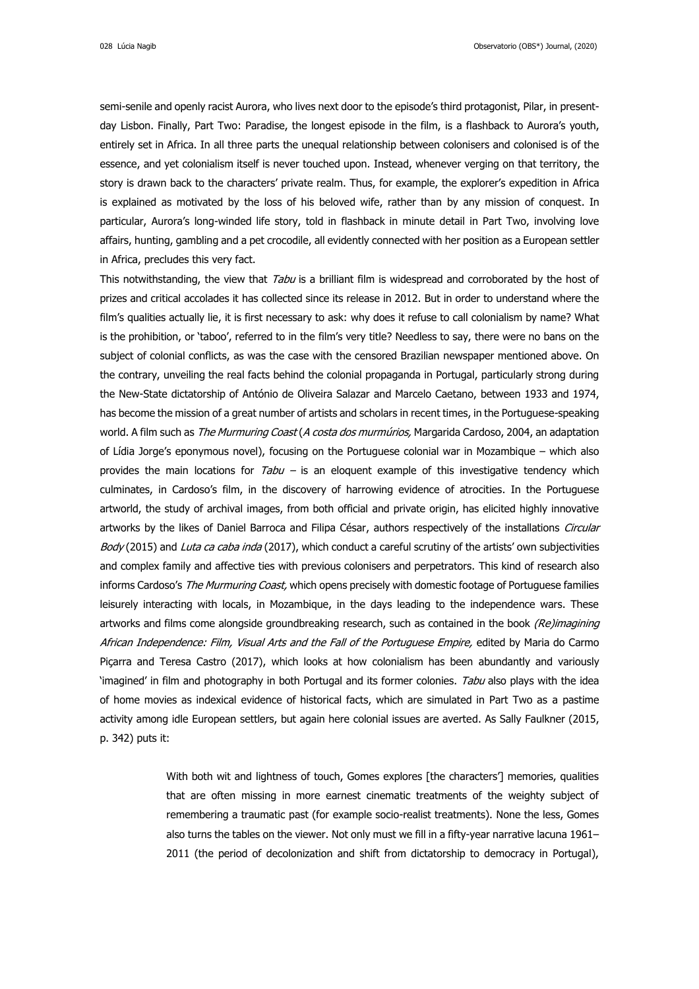semi-senile and openly racist Aurora, who lives next door to the episode's third protagonist, Pilar, in presentday Lisbon. Finally, Part Two: Paradise, the longest episode in the film, is a flashback to Aurora's youth, entirely set in Africa. In all three parts the unequal relationship between colonisers and colonised is of the essence, and yet colonialism itself is never touched upon. Instead, whenever verging on that territory, the story is drawn back to the characters' private realm. Thus, for example, the explorer's expedition in Africa is explained as motivated by the loss of his beloved wife, rather than by any mission of conquest. In particular, Aurora's long-winded life story, told in flashback in minute detail in Part Two, involving love affairs, hunting, gambling and a pet crocodile, all evidently connected with her position as a European settler in Africa, precludes this very fact.

This notwithstanding, the view that Tabu is a brilliant film is widespread and corroborated by the host of prizes and critical accolades it has collected since its release in 2012. But in order to understand where the film's qualities actually lie, it is first necessary to ask: why does it refuse to call colonialism by name? What is the prohibition, or 'taboo', referred to in the film's very title? Needless to say, there were no bans on the subject of colonial conflicts, as was the case with the censored Brazilian newspaper mentioned above. On the contrary, unveiling the real facts behind the colonial propaganda in Portugal, particularly strong during the New-State dictatorship of António de Oliveira Salazar and Marcelo Caetano, between 1933 and 1974, has become the mission of a great number of artists and scholars in recent times, in the Portuguese-speaking world. A film such as The Murmuring Coast (A costa dos murmúrios, Margarida Cardoso, 2004, an adaptation of Lídia Jorge's eponymous novel), focusing on the Portuguese colonial war in Mozambique – which also provides the main locations for  $Tabu -$  is an eloquent example of this investigative tendency which culminates, in Cardoso's film, in the discovery of harrowing evidence of atrocities. In the Portuguese artworld, the study of archival images, from both official and private origin, has elicited highly innovative artworks by the likes of Daniel Barroca and Filipa César, authors respectively of the installations Circular Body (2015) and Luta ca caba inda (2017), which conduct a careful scrutiny of the artists' own subjectivities and complex family and affective ties with previous colonisers and perpetrators. This kind of research also informs Cardoso's The Murmuring Coast, which opens precisely with domestic footage of Portuguese families leisurely interacting with locals, in Mozambique, in the days leading to the independence wars. These artworks and films come alongside groundbreaking research, such as contained in the book (Re)imagining African Independence: Film, Visual Arts and the Fall of the Portuguese Empire, edited by Maria do Carmo Piçarra and Teresa Castro (2017), which looks at how colonialism has been abundantly and variously 'imagined' in film and photography in both Portugal and its former colonies. Tabu also plays with the idea of home movies as indexical evidence of historical facts, which are simulated in Part Two as a pastime activity among idle European settlers, but again here colonial issues are averted. As Sally Faulkner (2015, p. 342) puts it:

> With both wit and lightness of touch, Gomes explores [the characters'] memories, qualities that are often missing in more earnest cinematic treatments of the weighty subject of remembering a traumatic past (for example socio-realist treatments). None the less, Gomes also turns the tables on the viewer. Not only must we fill in a fifty-year narrative lacuna 1961– 2011 (the period of decolonization and shift from dictatorship to democracy in Portugal),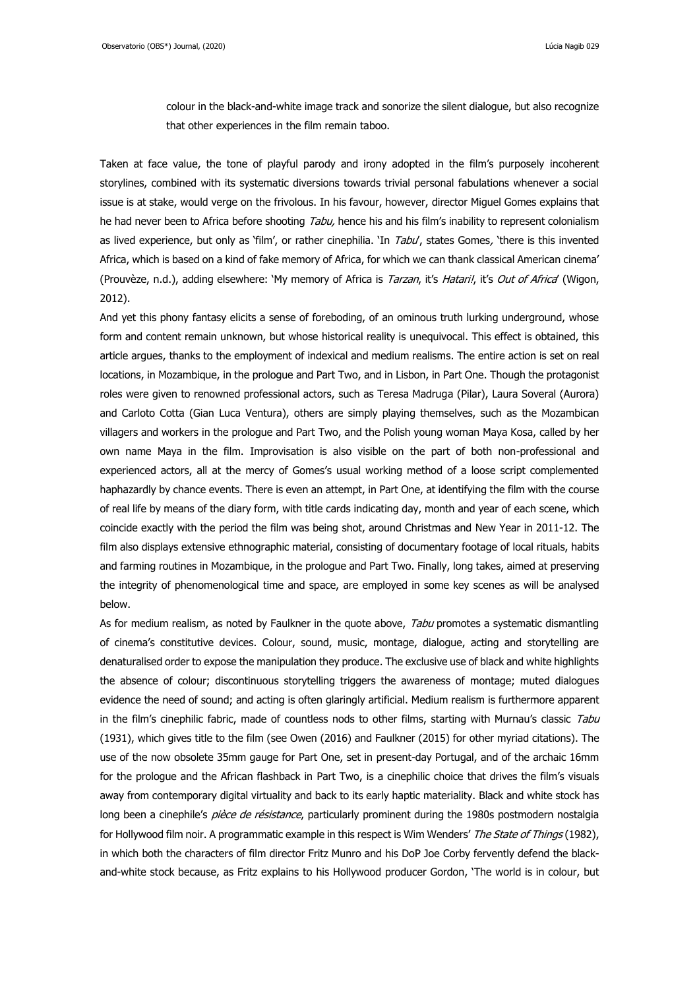colour in the black-and-white image track and sonorize the silent dialogue, but also recognize that other experiences in the film remain taboo.

Taken at face value, the tone of playful parody and irony adopted in the film's purposely incoherent storylines, combined with its systematic diversions towards trivial personal fabulations whenever a social issue is at stake, would verge on the frivolous. In his favour, however, director Miguel Gomes explains that he had never been to Africa before shooting Tabu, hence his and his film's inability to represent colonialism as lived experience, but only as 'film', or rather cinephilia. 'In Tabu', states Gomes, 'there is this invented Africa, which is based on a kind of fake memory of Africa, for which we can thank classical American cinema' (Prouvèze, n.d.), adding elsewhere: 'My memory of Africa is Tarzan, it's Hatari!, it's Out of Africa' (Wigon, 2012).

And yet this phony fantasy elicits a sense of foreboding, of an ominous truth lurking underground, whose form and content remain unknown, but whose historical reality is unequivocal. This effect is obtained, this article argues, thanks to the employment of indexical and medium realisms. The entire action is set on real locations, in Mozambique, in the prologue and Part Two, and in Lisbon, in Part One. Though the protagonist roles were given to renowned professional actors, such as Teresa Madruga (Pilar), Laura Soveral (Aurora) and Carloto Cotta (Gian Luca Ventura), others are simply playing themselves, such as the Mozambican villagers and workers in the prologue and Part Two, and the Polish young woman Maya Kosa, called by her own name Maya in the film. Improvisation is also visible on the part of both non-professional and experienced actors, all at the mercy of Gomes's usual working method of a loose script complemented haphazardly by chance events. There is even an attempt, in Part One, at identifying the film with the course of real life by means of the diary form, with title cards indicating day, month and year of each scene, which coincide exactly with the period the film was being shot, around Christmas and New Year in 2011-12. The film also displays extensive ethnographic material, consisting of documentary footage of local rituals, habits and farming routines in Mozambique, in the prologue and Part Two. Finally, long takes, aimed at preserving the integrity of phenomenological time and space, are employed in some key scenes as will be analysed below.

As for medium realism, as noted by Faulkner in the quote above, Tabu promotes a systematic dismantling of cinema's constitutive devices. Colour, sound, music, montage, dialogue, acting and storytelling are denaturalised order to expose the manipulation they produce. The exclusive use of black and white highlights the absence of colour; discontinuous storytelling triggers the awareness of montage; muted dialogues evidence the need of sound; and acting is often glaringly artificial. Medium realism is furthermore apparent in the film's cinephilic fabric, made of countless nods to other films, starting with Murnau's classic Tabu (1931), which gives title to the film (see Owen (2016) and Faulkner (2015) for other myriad citations). The use of the now obsolete 35mm gauge for Part One, set in present-day Portugal, and of the archaic 16mm for the prologue and the African flashback in Part Two, is a cinephilic choice that drives the film's visuals away from contemporary digital virtuality and back to its early haptic materiality. Black and white stock has long been a cinephile's pièce de résistance, particularly prominent during the 1980s postmodern nostalgia for Hollywood film noir. A programmatic example in this respect is Wim Wenders' The State of Things (1982), in which both the characters of film director Fritz Munro and his DoP Joe Corby fervently defend the blackand-white stock because, as Fritz explains to his Hollywood producer Gordon, 'The world is in colour, but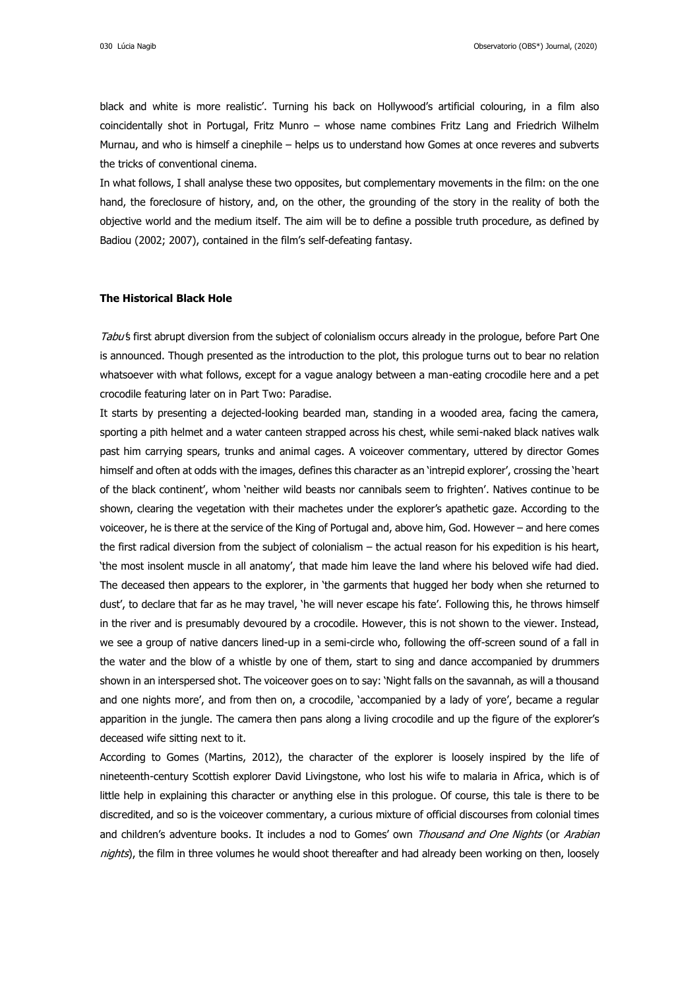black and white is more realistic'. Turning his back on Hollywood's artificial colouring, in a film also coincidentally shot in Portugal, Fritz Munro – whose name combines Fritz Lang and Friedrich Wilhelm Murnau, and who is himself a cinephile – helps us to understand how Gomes at once reveres and subverts the tricks of conventional cinema.

In what follows, I shall analyse these two opposites, but complementary movements in the film: on the one hand, the foreclosure of history, and, on the other, the grounding of the story in the reality of both the objective world and the medium itself. The aim will be to define a possible truth procedure, as defined by Badiou (2002; 2007), contained in the film's self-defeating fantasy.

#### **The Historical Black Hole**

Tabu's first abrupt diversion from the subject of colonialism occurs already in the prologue, before Part One is announced. Though presented as the introduction to the plot, this prologue turns out to bear no relation whatsoever with what follows, except for a vague analogy between a man-eating crocodile here and a pet crocodile featuring later on in Part Two: Paradise.

It starts by presenting a dejected-looking bearded man, standing in a wooded area, facing the camera, sporting a pith helmet and a water canteen strapped across his chest, while semi-naked black natives walk past him carrying spears, trunks and animal cages. A voiceover commentary, uttered by director Gomes himself and often at odds with the images, defines this character as an 'intrepid explorer', crossing the 'heart of the black continent', whom 'neither wild beasts nor cannibals seem to frighten'. Natives continue to be shown, clearing the vegetation with their machetes under the explorer's apathetic gaze. According to the voiceover, he is there at the service of the King of Portugal and, above him, God. However – and here comes the first radical diversion from the subject of colonialism – the actual reason for his expedition is his heart, 'the most insolent muscle in all anatomy', that made him leave the land where his beloved wife had died. The deceased then appears to the explorer, in 'the garments that hugged her body when she returned to dust', to declare that far as he may travel, 'he will never escape his fate'. Following this, he throws himself in the river and is presumably devoured by a crocodile. However, this is not shown to the viewer. Instead, we see a group of native dancers lined-up in a semi-circle who, following the off-screen sound of a fall in the water and the blow of a whistle by one of them, start to sing and dance accompanied by drummers shown in an interspersed shot. The voiceover goes on to say: 'Night falls on the savannah, as will a thousand and one nights more', and from then on, a crocodile, 'accompanied by a lady of yore', became a regular apparition in the jungle. The camera then pans along a living crocodile and up the figure of the explorer's deceased wife sitting next to it.

According to Gomes (Martins, 2012), the character of the explorer is loosely inspired by the life of nineteenth-century Scottish explorer David Livingstone, who lost his wife to malaria in Africa, which is of little help in explaining this character or anything else in this prologue. Of course, this tale is there to be discredited, and so is the voiceover commentary, a curious mixture of official discourses from colonial times and children's adventure books. It includes a nod to Gomes' own Thousand and One Nights (or Arabian nights), the film in three volumes he would shoot thereafter and had already been working on then, loosely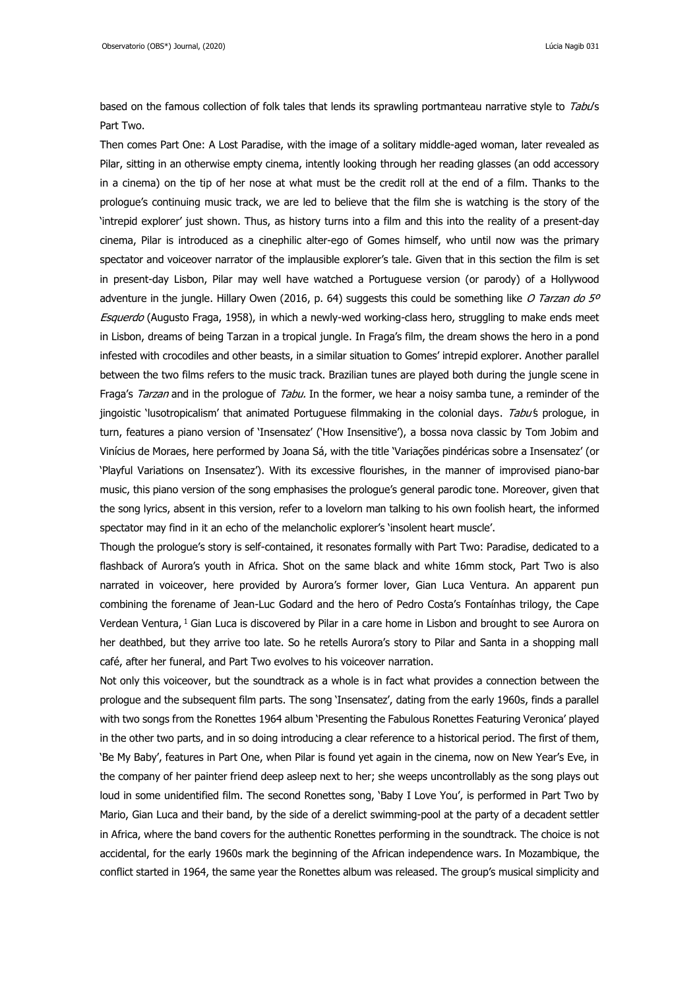based on the famous collection of folk tales that lends its sprawling portmanteau narrative style to Tabu's Part Two.

Then comes Part One: A Lost Paradise, with the image of a solitary middle-aged woman, later revealed as Pilar, sitting in an otherwise empty cinema, intently looking through her reading glasses (an odd accessory in a cinema) on the tip of her nose at what must be the credit roll at the end of a film. Thanks to the prologue's continuing music track, we are led to believe that the film she is watching is the story of the 'intrepid explorer' just shown. Thus, as history turns into a film and this into the reality of a present-day cinema, Pilar is introduced as a cinephilic alter-ego of Gomes himself, who until now was the primary spectator and voiceover narrator of the implausible explorer's tale. Given that in this section the film is set in present-day Lisbon, Pilar may well have watched a Portuguese version (or parody) of a Hollywood adventure in the jungle. Hillary Owen (2016, p. 64) suggests this could be something like O Tarzan do 5° Esquerdo (Augusto Fraga, 1958), in which a newly-wed working-class hero, struggling to make ends meet in Lisbon, dreams of being Tarzan in a tropical jungle. In Fraga's film, the dream shows the hero in a pond infested with crocodiles and other beasts, in a similar situation to Gomes' intrepid explorer. Another parallel between the two films refers to the music track. Brazilian tunes are played both during the jungle scene in Fraga's Tarzan and in the prologue of Tabu. In the former, we hear a noisy samba tune, a reminder of the jingoistic 'lusotropicalism' that animated Portuguese filmmaking in the colonial days. Tabu's prologue, in turn, features a piano version of 'Insensatez' ('How Insensitive'), a bossa nova classic by Tom Jobim and Vinícius de Moraes, here performed by Joana Sá, with the title 'Variações pindéricas sobre a Insensatez' (or 'Playful Variations on Insensatez'). With its excessive flourishes, in the manner of improvised piano-bar music, this piano version of the song emphasises the prologue's general parodic tone. Moreover, given that the song lyrics, absent in this version, refer to a lovelorn man talking to his own foolish heart, the informed spectator may find in it an echo of the melancholic explorer's 'insolent heart muscle'.

Though the prologue's story is self-contained, it resonates formally with Part Two: Paradise, dedicated to a flashback of Aurora's youth in Africa. Shot on the same black and white 16mm stock, Part Two is also narrated in voiceover, here provided by Aurora's former lover, Gian Luca Ventura. An apparent pun combining the forename of Jean-Luc Godard and the hero of Pedro Costa's Fontaínhas trilogy, the Cape Verdean Ventura, <sup>1</sup> Gian Luca is discovered by Pilar in a care home in Lisbon and brought to see Aurora on her deathbed, but they arrive too late. So he retells Aurora's story to Pilar and Santa in a shopping mall café, after her funeral, and Part Two evolves to his voiceover narration.

Not only this voiceover, but the soundtrack as a whole is in fact what provides a connection between the prologue and the subsequent film parts. The song 'Insensatez', dating from the early 1960s, finds a parallel with two songs from the Ronettes 1964 album 'Presenting the Fabulous Ronettes Featuring Veronica' played in the other two parts, and in so doing introducing a clear reference to a historical period. The first of them, 'Be My Baby', features in Part One, when Pilar is found yet again in the cinema, now on New Year's Eve, in the company of her painter friend deep asleep next to her; she weeps uncontrollably as the song plays out loud in some unidentified film. The second Ronettes song, 'Baby I Love You', is performed in Part Two by Mario, Gian Luca and their band, by the side of a derelict swimming-pool at the party of a decadent settler in Africa, where the band covers for the authentic Ronettes performing in the soundtrack. The choice is not accidental, for the early 1960s mark the beginning of the African independence wars. In Mozambique, the conflict started in 1964, the same year the Ronettes album was released. The group's musical simplicity and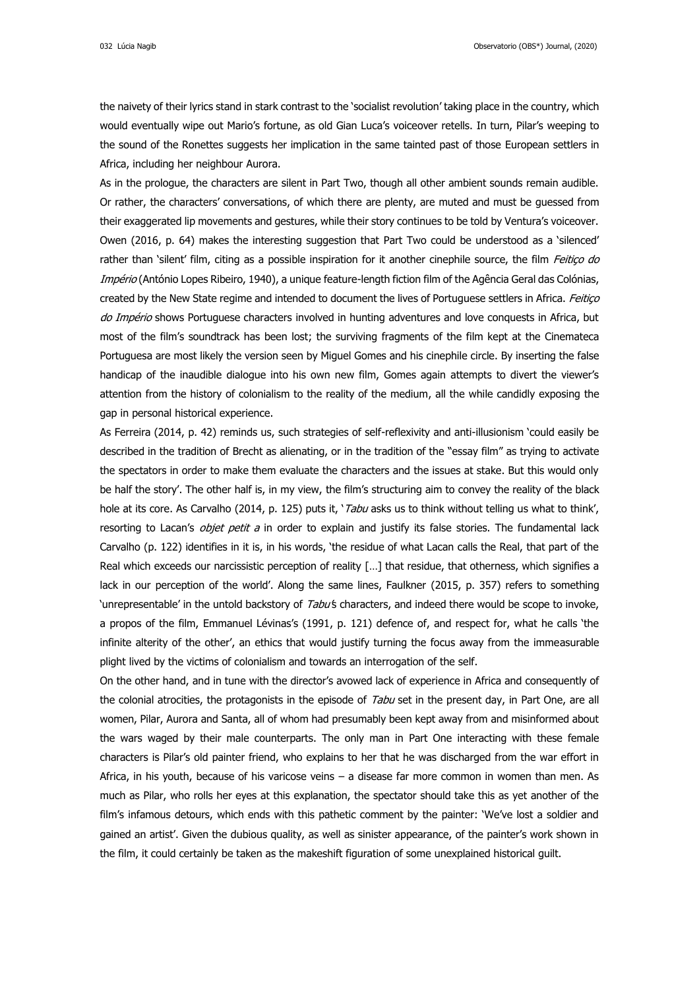032 Lúcia Nagib Observatorio (OBS\*) Journal, (2020)

the naivety of their lyrics stand in stark contrast to the 'socialist revolution' taking place in the country, which would eventually wipe out Mario's fortune, as old Gian Luca's voiceover retells. In turn, Pilar's weeping to the sound of the Ronettes suggests her implication in the same tainted past of those European settlers in Africa, including her neighbour Aurora.

As in the prologue, the characters are silent in Part Two, though all other ambient sounds remain audible. Or rather, the characters' conversations, of which there are plenty, are muted and must be guessed from their exaggerated lip movements and gestures, while their story continues to be told by Ventura's voiceover. Owen (2016, p. 64) makes the interesting suggestion that Part Two could be understood as a 'silenced' rather than 'silent' film, citing as a possible inspiration for it another cinephile source, the film Feitiço do Império (António Lopes Ribeiro, 1940), a unique feature-length fiction film of the Agência Geral das Colónias, created by the New State regime and intended to document the lives of Portuguese settlers in Africa. Feitiço do Império shows Portuguese characters involved in hunting adventures and love conquests in Africa, but most of the film's soundtrack has been lost; the surviving fragments of the film kept at the Cinemateca Portuguesa are most likely the version seen by Miguel Gomes and his cinephile circle. By inserting the false handicap of the inaudible dialogue into his own new film, Gomes again attempts to divert the viewer's attention from the history of colonialism to the reality of the medium, all the while candidly exposing the gap in personal historical experience.

As Ferreira (2014, p. 42) reminds us, such strategies of self-reflexivity and anti-illusionism 'could easily be described in the tradition of Brecht as alienating, or in the tradition of the "essay film" as trying to activate the spectators in order to make them evaluate the characters and the issues at stake. But this would only be half the story'. The other half is, in my view, the film's structuring aim to convey the reality of the black hole at its core. As Carvalho (2014, p. 125) puts it, 'Tabu asks us to think without telling us what to think', resorting to Lacan's *objet petit a* in order to explain and justify its false stories. The fundamental lack Carvalho (p. 122) identifies in it is, in his words, 'the residue of what Lacan calls the Real, that part of the Real which exceeds our narcissistic perception of reality […] that residue, that otherness, which signifies a lack in our perception of the world'. Along the same lines, Faulkner (2015, p. 357) refers to something 'unrepresentable' in the untold backstory of Tabu's characters, and indeed there would be scope to invoke, a propos of the film, Emmanuel Lévinas's (1991, p. 121) defence of, and respect for, what he calls 'the infinite alterity of the other', an ethics that would justify turning the focus away from the immeasurable plight lived by the victims of colonialism and towards an interrogation of the self.

On the other hand, and in tune with the director's avowed lack of experience in Africa and consequently of the colonial atrocities, the protagonists in the episode of Tabu set in the present day, in Part One, are all women, Pilar, Aurora and Santa, all of whom had presumably been kept away from and misinformed about the wars waged by their male counterparts. The only man in Part One interacting with these female characters is Pilar's old painter friend, who explains to her that he was discharged from the war effort in Africa, in his youth, because of his varicose veins – a disease far more common in women than men. As much as Pilar, who rolls her eyes at this explanation, the spectator should take this as yet another of the film's infamous detours, which ends with this pathetic comment by the painter: 'We've lost a soldier and gained an artist'. Given the dubious quality, as well as sinister appearance, of the painter's work shown in the film, it could certainly be taken as the makeshift figuration of some unexplained historical guilt.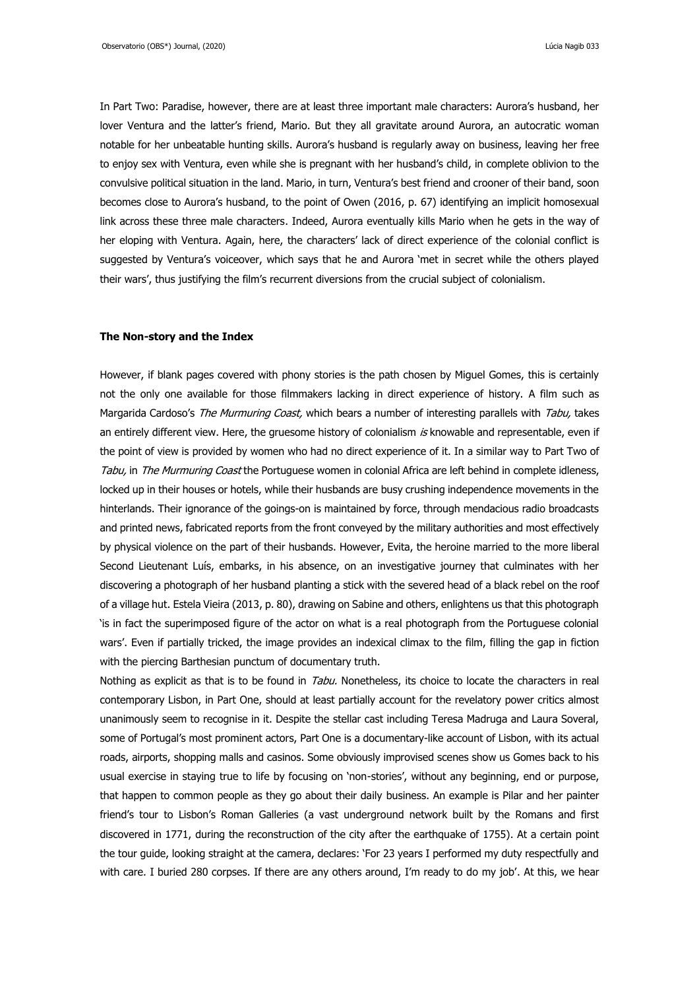In Part Two: Paradise, however, there are at least three important male characters: Aurora's husband, her lover Ventura and the latter's friend, Mario. But they all gravitate around Aurora, an autocratic woman notable for her unbeatable hunting skills. Aurora's husband is regularly away on business, leaving her free to enjoy sex with Ventura, even while she is pregnant with her husband's child, in complete oblivion to the convulsive political situation in the land. Mario, in turn, Ventura's best friend and crooner of their band, soon becomes close to Aurora's husband, to the point of Owen (2016, p. 67) identifying an implicit homosexual link across these three male characters. Indeed, Aurora eventually kills Mario when he gets in the way of her eloping with Ventura. Again, here, the characters' lack of direct experience of the colonial conflict is suggested by Ventura's voiceover, which says that he and Aurora 'met in secret while the others played their wars', thus justifying the film's recurrent diversions from the crucial subject of colonialism.

### **The Non-story and the Index**

However, if blank pages covered with phony stories is the path chosen by Miguel Gomes, this is certainly not the only one available for those filmmakers lacking in direct experience of history. A film such as Margarida Cardoso's The Murmuring Coast, which bears a number of interesting parallels with Tabu, takes an entirely different view. Here, the gruesome history of colonialism is knowable and representable, even if the point of view is provided by women who had no direct experience of it. In a similar way to Part Two of Tabu, in The Murmuring Coast the Portuguese women in colonial Africa are left behind in complete idleness, locked up in their houses or hotels, while their husbands are busy crushing independence movements in the hinterlands. Their ignorance of the goings-on is maintained by force, through mendacious radio broadcasts and printed news, fabricated reports from the front conveyed by the military authorities and most effectively by physical violence on the part of their husbands. However, Evita, the heroine married to the more liberal Second Lieutenant Luís, embarks, in his absence, on an investigative journey that culminates with her discovering a photograph of her husband planting a stick with the severed head of a black rebel on the roof of a village hut. Estela Vieira (2013, p. 80), drawing on Sabine and others, enlightens us that this photograph 'is in fact the superimposed figure of the actor on what is a real photograph from the Portuguese colonial wars'. Even if partially tricked, the image provides an indexical climax to the film, filling the gap in fiction with the piercing Barthesian punctum of documentary truth.

Nothing as explicit as that is to be found in Tabu. Nonetheless, its choice to locate the characters in real contemporary Lisbon, in Part One, should at least partially account for the revelatory power critics almost unanimously seem to recognise in it. Despite the stellar cast including Teresa Madruga and Laura Soveral, some of Portugal's most prominent actors, Part One is a documentary-like account of Lisbon, with its actual roads, airports, shopping malls and casinos. Some obviously improvised scenes show us Gomes back to his usual exercise in staying true to life by focusing on 'non-stories', without any beginning, end or purpose, that happen to common people as they go about their daily business. An example is Pilar and her painter friend's tour to Lisbon's Roman Galleries (a vast underground network built by the Romans and first discovered in 1771, during the reconstruction of the city after the earthquake of 1755). At a certain point the tour guide, looking straight at the camera, declares: 'For 23 years I performed my duty respectfully and with care. I buried 280 corpses. If there are any others around, I'm ready to do my job'. At this, we hear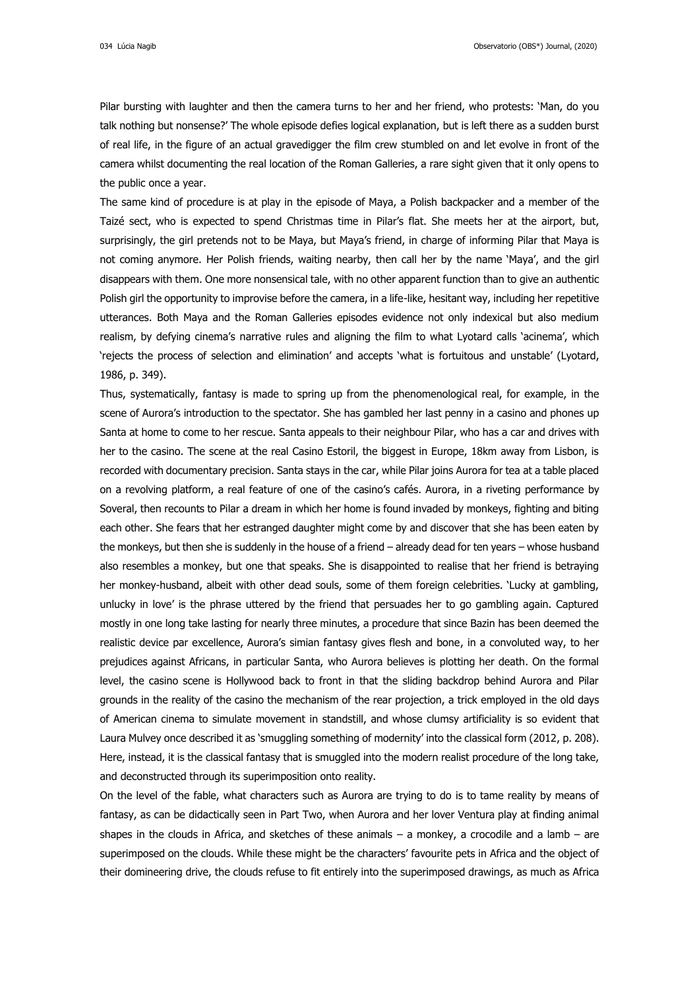034 Lúcia Nagib Observatorio (OBS\*) Journal, (2020)

Pilar bursting with laughter and then the camera turns to her and her friend, who protests: 'Man, do you talk nothing but nonsense?' The whole episode defies logical explanation, but is left there as a sudden burst of real life, in the figure of an actual gravedigger the film crew stumbled on and let evolve in front of the camera whilst documenting the real location of the Roman Galleries, a rare sight given that it only opens to the public once a year.

The same kind of procedure is at play in the episode of Maya, a Polish backpacker and a member of the Taizé sect, who is expected to spend Christmas time in Pilar's flat. She meets her at the airport, but, surprisingly, the girl pretends not to be Maya, but Maya's friend, in charge of informing Pilar that Maya is not coming anymore. Her Polish friends, waiting nearby, then call her by the name 'Maya', and the girl disappears with them. One more nonsensical tale, with no other apparent function than to give an authentic Polish girl the opportunity to improvise before the camera, in a life-like, hesitant way, including her repetitive utterances. Both Maya and the Roman Galleries episodes evidence not only indexical but also medium realism, by defying cinema's narrative rules and aligning the film to what Lyotard calls 'acinema', which 'rejects the process of selection and elimination' and accepts 'what is fortuitous and unstable' (Lyotard, 1986, p. 349).

Thus, systematically, fantasy is made to spring up from the phenomenological real, for example, in the scene of Aurora's introduction to the spectator. She has gambled her last penny in a casino and phones up Santa at home to come to her rescue. Santa appeals to their neighbour Pilar, who has a car and drives with her to the casino. The scene at the real Casino Estoril, the biggest in Europe, 18km away from Lisbon, is recorded with documentary precision. Santa stays in the car, while Pilar joins Aurora for tea at a table placed on a revolving platform, a real feature of one of the casino's cafés. Aurora, in a riveting performance by Soveral, then recounts to Pilar a dream in which her home is found invaded by monkeys, fighting and biting each other. She fears that her estranged daughter might come by and discover that she has been eaten by the monkeys, but then she is suddenly in the house of a friend – already dead for ten years – whose husband also resembles a monkey, but one that speaks. She is disappointed to realise that her friend is betraying her monkey-husband, albeit with other dead souls, some of them foreign celebrities. 'Lucky at gambling, unlucky in love' is the phrase uttered by the friend that persuades her to go gambling again. Captured mostly in one long take lasting for nearly three minutes, a procedure that since Bazin has been deemed the realistic device par excellence, Aurora's simian fantasy gives flesh and bone, in a convoluted way, to her prejudices against Africans, in particular Santa, who Aurora believes is plotting her death. On the formal level, the casino scene is Hollywood back to front in that the sliding backdrop behind Aurora and Pilar grounds in the reality of the casino the mechanism of the rear projection, a trick employed in the old days of American cinema to simulate movement in standstill, and whose clumsy artificiality is so evident that Laura Mulvey once described it as 'smuggling something of modernity' into the classical form (2012, p. 208). Here, instead, it is the classical fantasy that is smuggled into the modern realist procedure of the long take, and deconstructed through its superimposition onto reality.

On the level of the fable, what characters such as Aurora are trying to do is to tame reality by means of fantasy, as can be didactically seen in Part Two, when Aurora and her lover Ventura play at finding animal shapes in the clouds in Africa, and sketches of these animals  $-$  a monkey, a crocodile and a lamb  $-$  are superimposed on the clouds. While these might be the characters' favourite pets in Africa and the object of their domineering drive, the clouds refuse to fit entirely into the superimposed drawings, as much as Africa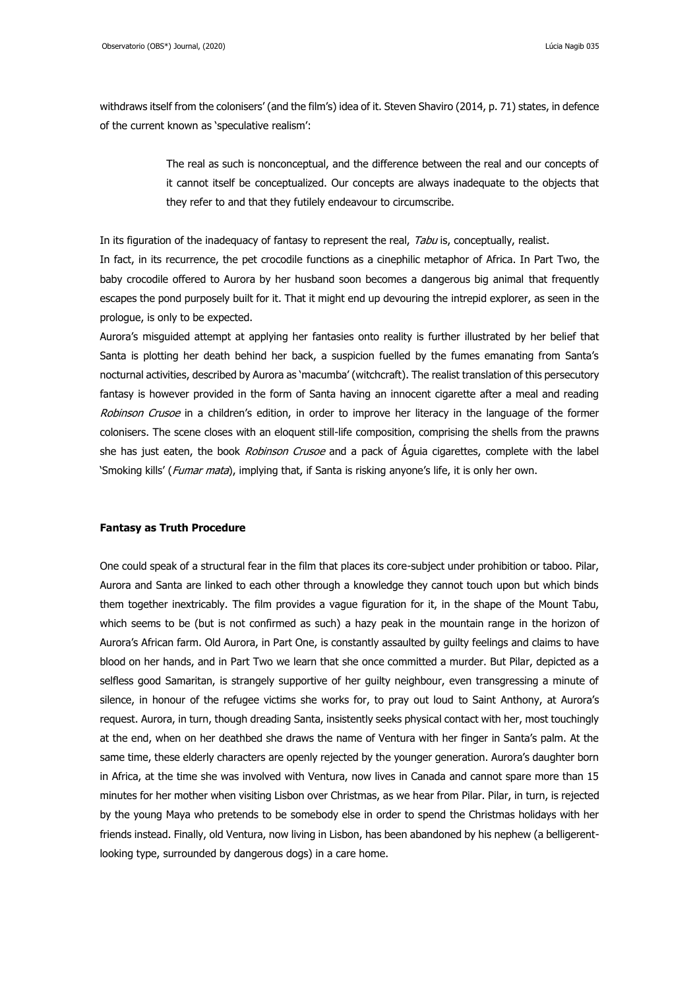withdraws itself from the colonisers' (and the film's) idea of it. Steven Shaviro (2014, p. 71) states, in defence of the current known as 'speculative realism':

> The real as such is nonconceptual, and the difference between the real and our concepts of it cannot itself be conceptualized. Our concepts are always inadequate to the objects that they refer to and that they futilely endeavour to circumscribe.

In its figuration of the inadequacy of fantasy to represent the real, Tabu is, conceptually, realist. In fact, in its recurrence, the pet crocodile functions as a cinephilic metaphor of Africa. In Part Two, the baby crocodile offered to Aurora by her husband soon becomes a dangerous big animal that frequently escapes the pond purposely built for it. That it might end up devouring the intrepid explorer, as seen in the prologue, is only to be expected.

Aurora's misguided attempt at applying her fantasies onto reality is further illustrated by her belief that Santa is plotting her death behind her back, a suspicion fuelled by the fumes emanating from Santa's nocturnal activities, described by Aurora as 'macumba' (witchcraft). The realist translation of this persecutory fantasy is however provided in the form of Santa having an innocent cigarette after a meal and reading Robinson Crusoe in a children's edition, in order to improve her literacy in the language of the former colonisers. The scene closes with an eloquent still-life composition, comprising the shells from the prawns she has just eaten, the book *Robinson Crusoe* and a pack of Aquia cigarettes, complete with the label 'Smoking kills' (Fumar mata), implying that, if Santa is risking anyone's life, it is only her own.

## **Fantasy as Truth Procedure**

One could speak of a structural fear in the film that places its core-subject under prohibition or taboo. Pilar, Aurora and Santa are linked to each other through a knowledge they cannot touch upon but which binds them together inextricably. The film provides a vague figuration for it, in the shape of the Mount Tabu, which seems to be (but is not confirmed as such) a hazy peak in the mountain range in the horizon of Aurora's African farm. Old Aurora, in Part One, is constantly assaulted by guilty feelings and claims to have blood on her hands, and in Part Two we learn that she once committed a murder. But Pilar, depicted as a selfless good Samaritan, is strangely supportive of her guilty neighbour, even transgressing a minute of silence, in honour of the refugee victims she works for, to pray out loud to Saint Anthony, at Aurora's request. Aurora, in turn, though dreading Santa, insistently seeks physical contact with her, most touchingly at the end, when on her deathbed she draws the name of Ventura with her finger in Santa's palm. At the same time, these elderly characters are openly rejected by the younger generation. Aurora's daughter born in Africa, at the time she was involved with Ventura, now lives in Canada and cannot spare more than 15 minutes for her mother when visiting Lisbon over Christmas, as we hear from Pilar. Pilar, in turn, is rejected by the young Maya who pretends to be somebody else in order to spend the Christmas holidays with her friends instead. Finally, old Ventura, now living in Lisbon, has been abandoned by his nephew (a belligerentlooking type, surrounded by dangerous dogs) in a care home.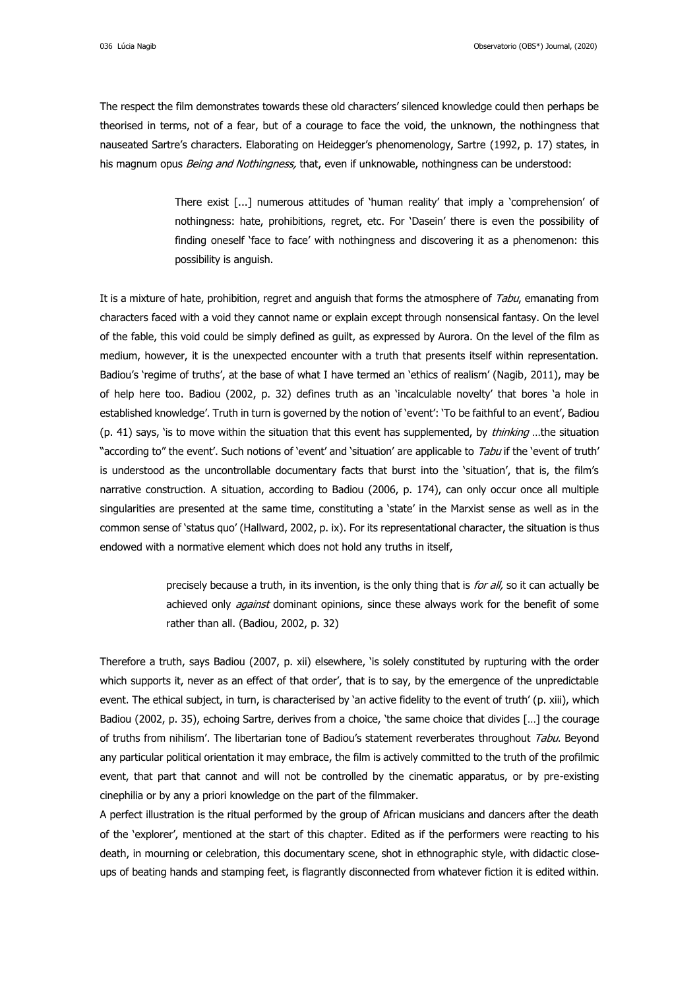The respect the film demonstrates towards these old characters' silenced knowledge could then perhaps be theorised in terms, not of a fear, but of a courage to face the void, the unknown, the nothingness that nauseated Sartre's characters. Elaborating on Heidegger's phenomenology, Sartre (1992, p. 17) states, in his magnum opus Being and Nothingness, that, even if unknowable, nothingness can be understood:

> There exist [...] numerous attitudes of 'human reality' that imply a 'comprehension' of nothingness: hate, prohibitions, regret, etc. For 'Dasein' there is even the possibility of finding oneself 'face to face' with nothingness and discovering it as a phenomenon: this possibility is anguish.

It is a mixture of hate, prohibition, regret and anguish that forms the atmosphere of Tabu, emanating from characters faced with a void they cannot name or explain except through nonsensical fantasy. On the level of the fable, this void could be simply defined as guilt, as expressed by Aurora. On the level of the film as medium, however, it is the unexpected encounter with a truth that presents itself within representation. Badiou's 'regime of truths', at the base of what I have termed an 'ethics of realism' (Nagib, 2011), may be of help here too. Badiou (2002, p. 32) defines truth as an 'incalculable novelty' that bores 'a hole in established knowledge'. Truth in turn is governed by the notion of 'event': 'To be faithful to an event', Badiou (p. 41) says, 'is to move within the situation that this event has supplemented, by *thinking* ...the situation "according to" the event'. Such notions of 'event' and 'situation' are applicable to Tabu if the 'event of truth' is understood as the uncontrollable documentary facts that burst into the 'situation', that is, the film's narrative construction. A situation, according to Badiou (2006, p. 174), can only occur once all multiple singularities are presented at the same time, constituting a 'state' in the Marxist sense as well as in the common sense of 'status quo' (Hallward, 2002, p. ix). For its representational character, the situation is thus endowed with a normative element which does not hold any truths in itself,

> precisely because a truth, in its invention, is the only thing that is *for all*, so it can actually be achieved only *against* dominant opinions, since these always work for the benefit of some rather than all. (Badiou, 2002, p. 32)

Therefore a truth, says Badiou (2007, p. xii) elsewhere, 'is solely constituted by rupturing with the order which supports it, never as an effect of that order', that is to say, by the emergence of the unpredictable event. The ethical subject, in turn, is characterised by 'an active fidelity to the event of truth' (p. xiii), which Badiou (2002, p. 35), echoing Sartre, derives from a choice, 'the same choice that divides […] the courage of truths from nihilism'. The libertarian tone of Badiou's statement reverberates throughout Tabu. Beyond any particular political orientation it may embrace, the film is actively committed to the truth of the profilmic event, that part that cannot and will not be controlled by the cinematic apparatus, or by pre-existing cinephilia or by any a priori knowledge on the part of the filmmaker.

A perfect illustration is the ritual performed by the group of African musicians and dancers after the death of the 'explorer', mentioned at the start of this chapter. Edited as if the performers were reacting to his death, in mourning or celebration, this documentary scene, shot in ethnographic style, with didactic closeups of beating hands and stamping feet, is flagrantly disconnected from whatever fiction it is edited within.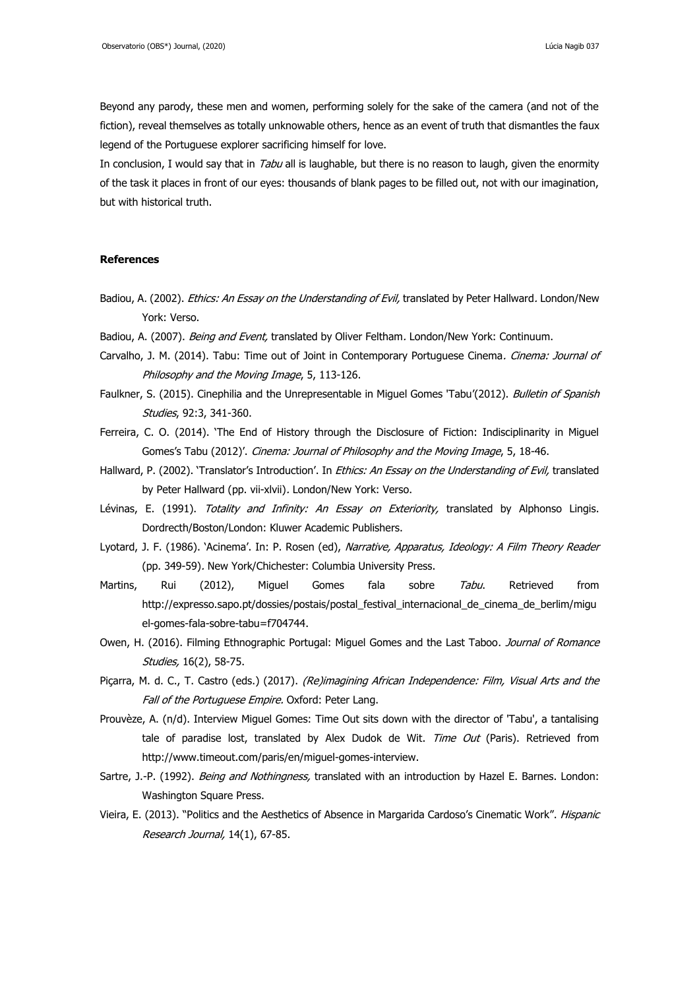Beyond any parody, these men and women, performing solely for the sake of the camera (and not of the fiction), reveal themselves as totally unknowable others, hence as an event of truth that dismantles the faux legend of the Portuguese explorer sacrificing himself for love.

In conclusion, I would say that in Tabu all is laughable, but there is no reason to laugh, given the enormity of the task it places in front of our eyes: thousands of blank pages to be filled out, not with our imagination, but with historical truth.

#### **References**

- Badiou, A. (2002). Ethics: An Essay on the Understanding of Evil, translated by Peter Hallward. London/New York: Verso.
- Badiou, A. (2007). Being and Event, translated by Oliver Feltham. London/New York: Continuum.
- Carvalho, J. M. (2014). Tabu: Time out of Joint in Contemporary Portuguese Cinema. Cinema: Journal of Philosophy and the Moving Image, 5, 113-126.
- Faulkner, S. (2015). Cinephilia and the Unrepresentable in Miguel Gomes 'Tabu'(2012). Bulletin of Spanish Studies, 92:3, 341-360.
- Ferreira, C. O. (2014). 'The End of History through the Disclosure of Fiction: Indisciplinarity in Miguel Gomes's Tabu (2012)'. Cinema: Journal of Philosophy and the Moving Image, 5, 18-46.
- Hallward, P. (2002). 'Translator's Introduction'. In Ethics: An Essay on the Understanding of Evil, translated by Peter Hallward (pp. vii-xlvii). London/New York: Verso.
- Lévinas, E. (1991). Totality and Infinity: An Essay on Exteriority, translated by Alphonso Lingis. Dordrecth/Boston/London: Kluwer Academic Publishers.
- Lyotard, J. F. (1986). 'Acinema'. In: P. Rosen (ed), Narrative, Apparatus, Ideology: A Film Theory Reader (pp. 349-59). New York/Chichester: Columbia University Press.
- Martins, Rui (2012), Miguel Gomes fala sobre *Tabu*. Retrieved from [http://expresso.sapo.pt/dossies/postais/postal\\_festival\\_internacional\\_de\\_cinema\\_de\\_berlim/migu](http://expresso.sapo.pt/dossies/postais/postal_festival_internacional_de_cinema_de_berlim/miguel-gomes-fala-sobre-tabu=f704744) [el-gomes-fala-sobre-tabu=f704744.](http://expresso.sapo.pt/dossies/postais/postal_festival_internacional_de_cinema_de_berlim/miguel-gomes-fala-sobre-tabu=f704744)
- Owen, H. (2016). Filming Ethnographic Portugal: Miguel Gomes and the Last Taboo. Journal of Romance Studies, 16(2), 58-75.
- Piçarra, M. d. C., T. Castro (eds.) (2017). (Re)imagining African Independence: Film, Visual Arts and the Fall of the Portuguese Empire. Oxford: Peter Lang.
- Prouvèze, A. (n/d). Interview Miguel Gomes: Time Out sits down with the director of 'Tabu', a tantalising tale of paradise lost, translated by Alex Dudok de Wit. Time Out (Paris). Retrieved from [http://www.timeout.com/paris/en/miguel-gomes-interview.](http://www.timeout.com/paris/en/miguel-gomes-interview)
- Sartre, J.-P. (1992). Being and Nothingness, translated with an introduction by Hazel E. Barnes. London: Washington Square Press.
- Vieira, E. (2013). "Politics and the Aesthetics of Absence in Margarida Cardoso's Cinematic Work". Hispanic Research Journal, 14(1), 67-85.